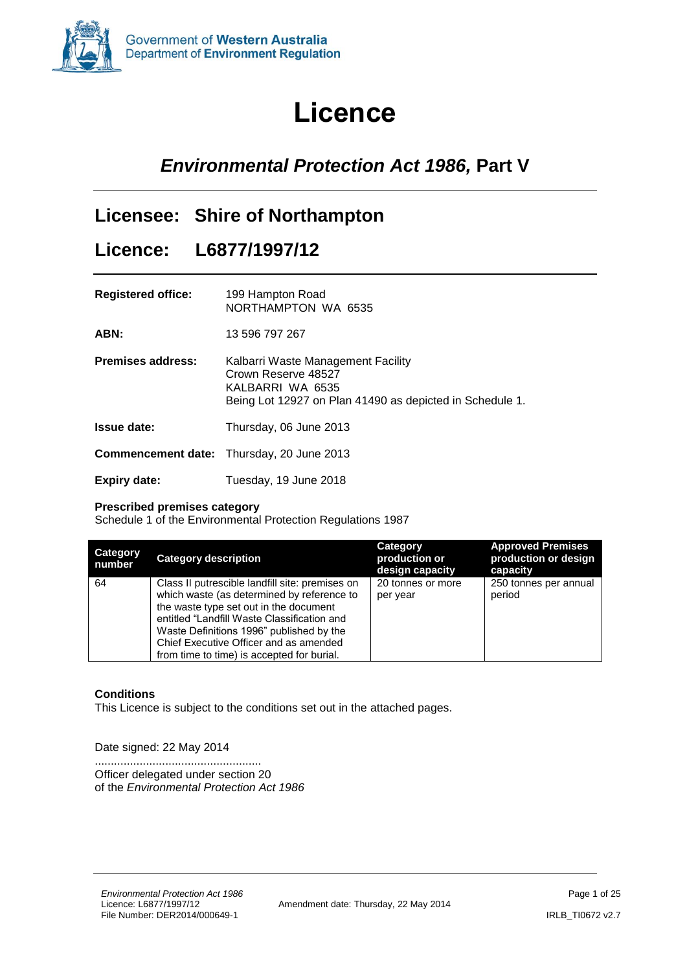

# **Licence**

# <span id="page-0-0"></span>*Environmental Protection Act 1986,* **Part V**

### **Licensee: Shire of Northampton**

### **Licence: L6877/1997/12**

| <b>Registered office:</b> | 199 Hampton Road<br>NORTHAMPTON WA 6535                                                                                                   |
|---------------------------|-------------------------------------------------------------------------------------------------------------------------------------------|
| ABN:                      | 13 596 797 267                                                                                                                            |
| <b>Premises address:</b>  | Kalbarri Waste Management Facility<br>Crown Reserve 48527<br>KALBARRI WA 6535<br>Being Lot 12927 on Plan 41490 as depicted in Schedule 1. |
| Issue date:               | Thursday, 06 June 2013                                                                                                                    |
|                           | <b>Commencement date:</b> Thursday, 20 June 2013                                                                                          |
| Expiry date:              | Tuesday, 19 June 2018                                                                                                                     |

#### **Prescribed premises category**

Schedule 1 of the Environmental Protection Regulations 1987

| <b>Category</b><br>number | <b>Category description</b>                                                                                                                                                                                                                                                                                                | Category<br>production or<br>design capacity | <b>Approved Premises</b><br>production or design<br>capacity |
|---------------------------|----------------------------------------------------------------------------------------------------------------------------------------------------------------------------------------------------------------------------------------------------------------------------------------------------------------------------|----------------------------------------------|--------------------------------------------------------------|
| 64                        | Class II putrescible landfill site: premises on<br>which waste (as determined by reference to<br>the waste type set out in the document<br>entitled "Landfill Waste Classification and<br>Waste Definitions 1996" published by the<br>Chief Executive Officer and as amended<br>from time to time) is accepted for burial. | 20 tonnes or more<br>per year                | 250 tonnes per annual<br>period                              |

#### **Conditions**

This Licence is subject to the conditions set out in the attached pages.

Date signed: 22 May 2014

.................................................... Officer delegated under section 20 of the *Environmental Protection Act 1986*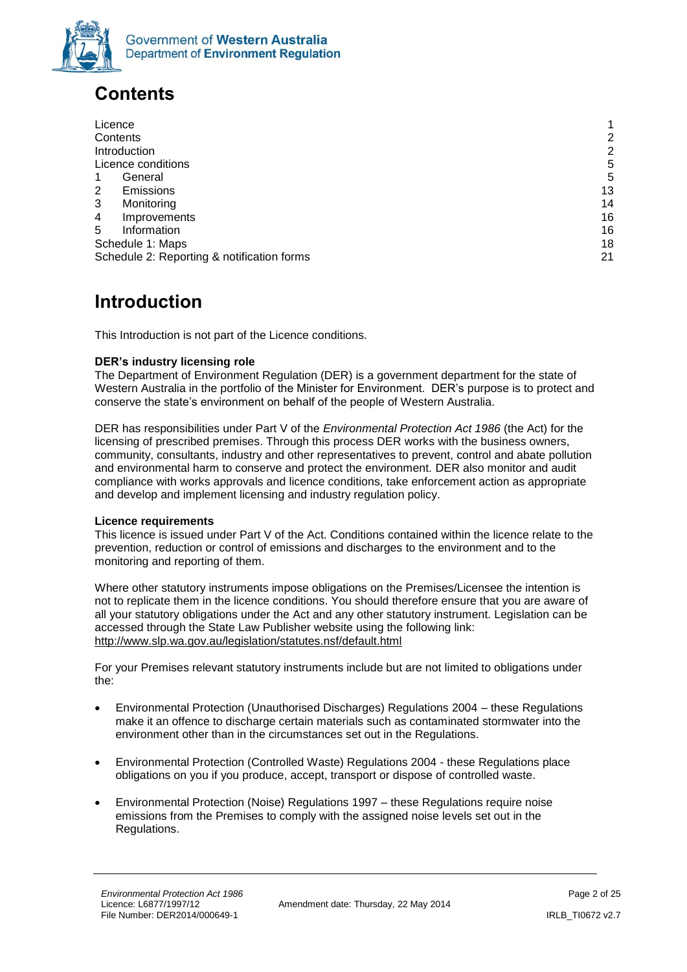

# <span id="page-1-0"></span>**Contents**

| Licence                                    | 1  |
|--------------------------------------------|----|
| Contents                                   | 2  |
| Introduction                               | 2  |
| Licence conditions                         | 5  |
| General                                    | 5  |
| <b>Emissions</b><br>2                      | 13 |
| Monitoring<br>3                            | 14 |
| Improvements<br>4                          | 16 |
| Information<br>5                           | 16 |
| Schedule 1: Maps                           | 18 |
| Schedule 2: Reporting & notification forms | 21 |

### <span id="page-1-1"></span>**Introduction**

This Introduction is not part of the Licence conditions.

#### **DER's industry licensing role**

The Department of Environment Regulation (DER) is a government department for the state of Western Australia in the portfolio of the Minister for Environment. DER's purpose is to protect and conserve the state's environment on behalf of the people of Western Australia.

DER has responsibilities under Part V of the *Environmental Protection Act 1986* (the Act) for the licensing of prescribed premises. Through this process DER works with the business owners, community, consultants, industry and other representatives to prevent, control and abate pollution and environmental harm to conserve and protect the environment. DER also monitor and audit compliance with works approvals and licence conditions, take enforcement action as appropriate and develop and implement licensing and industry regulation policy.

#### **Licence requirements**

This licence is issued under Part V of the Act. Conditions contained within the licence relate to the prevention, reduction or control of emissions and discharges to the environment and to the monitoring and reporting of them.

Where other statutory instruments impose obligations on the Premises/Licensee the intention is not to replicate them in the licence conditions. You should therefore ensure that you are aware of all your statutory obligations under the Act and any other statutory instrument. Legislation can be accessed through the State Law Publisher website using the following link: <http://www.slp.wa.gov.au/legislation/statutes.nsf/default.html>

For your Premises relevant statutory instruments include but are not limited to obligations under the:

- Environmental Protection (Unauthorised Discharges) Regulations 2004 these Regulations make it an offence to discharge certain materials such as contaminated stormwater into the environment other than in the circumstances set out in the Regulations.
- Environmental Protection (Controlled Waste) Regulations 2004 these Regulations place obligations on you if you produce, accept, transport or dispose of controlled waste.
- Environmental Protection (Noise) Regulations 1997 these Regulations require noise emissions from the Premises to comply with the assigned noise levels set out in the Regulations.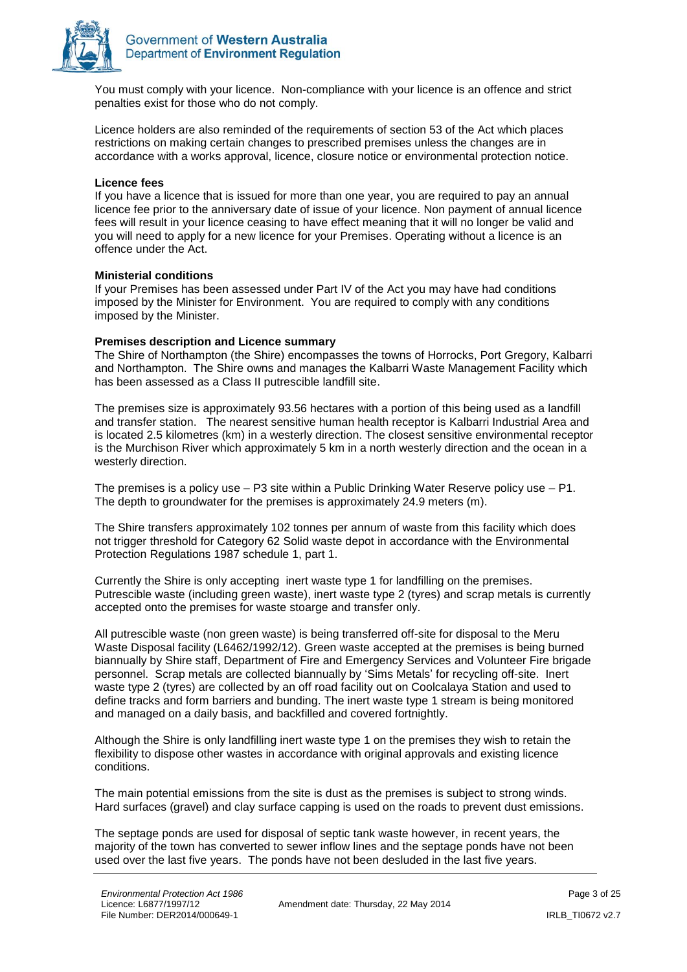

You must comply with your licence. Non-compliance with your licence is an offence and strict penalties exist for those who do not comply.

Licence holders are also reminded of the requirements of section 53 of the Act which places restrictions on making certain changes to prescribed premises unless the changes are in accordance with a works approval, licence, closure notice or environmental protection notice.

#### **Licence fees**

If you have a licence that is issued for more than one year, you are required to pay an annual licence fee prior to the anniversary date of issue of your licence. Non payment of annual licence fees will result in your licence ceasing to have effect meaning that it will no longer be valid and you will need to apply for a new licence for your Premises. Operating without a licence is an offence under the Act.

#### **Ministerial conditions**

If your Premises has been assessed under Part IV of the Act you may have had conditions imposed by the Minister for Environment. You are required to comply with any conditions imposed by the Minister.

#### **Premises description and Licence summary**

The Shire of Northampton (the Shire) encompasses the towns of Horrocks, Port Gregory, Kalbarri and Northampton. The Shire owns and manages the Kalbarri Waste Management Facility which has been assessed as a Class II putrescible landfill site.

The premises size is approximately 93.56 hectares with a portion of this being used as a landfill and transfer station. The nearest sensitive human health receptor is Kalbarri Industrial Area and is located 2.5 kilometres (km) in a westerly direction. The closest sensitive environmental receptor is the Murchison River which approximately 5 km in a north westerly direction and the ocean in a westerly direction.

The premises is a policy use – P3 site within a Public Drinking Water Reserve policy use – P1. The depth to groundwater for the premises is approximately 24.9 meters (m).

The Shire transfers approximately 102 tonnes per annum of waste from this facility which does not trigger threshold for Category 62 Solid waste depot in accordance with the Environmental Protection Regulations 1987 schedule 1, part 1.

Currently the Shire is only accepting inert waste type 1 for landfilling on the premises. Putrescible waste (including green waste), inert waste type 2 (tyres) and scrap metals is currently accepted onto the premises for waste stoarge and transfer only.

All putrescible waste (non green waste) is being transferred off-site for disposal to the Meru Waste Disposal facility (L6462/1992/12). Green waste accepted at the premises is being burned biannually by Shire staff, Department of Fire and Emergency Services and Volunteer Fire brigade personnel. Scrap metals are collected biannually by 'Sims Metals' for recycling off-site. Inert waste type 2 (tyres) are collected by an off road facility out on Coolcalaya Station and used to define tracks and form barriers and bunding. The inert waste type 1 stream is being monitored and managed on a daily basis, and backfilled and covered fortnightly.

Although the Shire is only landfilling inert waste type 1 on the premises they wish to retain the flexibility to dispose other wastes in accordance with original approvals and existing licence conditions.

The main potential emissions from the site is dust as the premises is subject to strong winds. Hard surfaces (gravel) and clay surface capping is used on the roads to prevent dust emissions.

The septage ponds are used for disposal of septic tank waste however, in recent years, the majority of the town has converted to sewer inflow lines and the septage ponds have not been used over the last five years. The ponds have not been desluded in the last five years.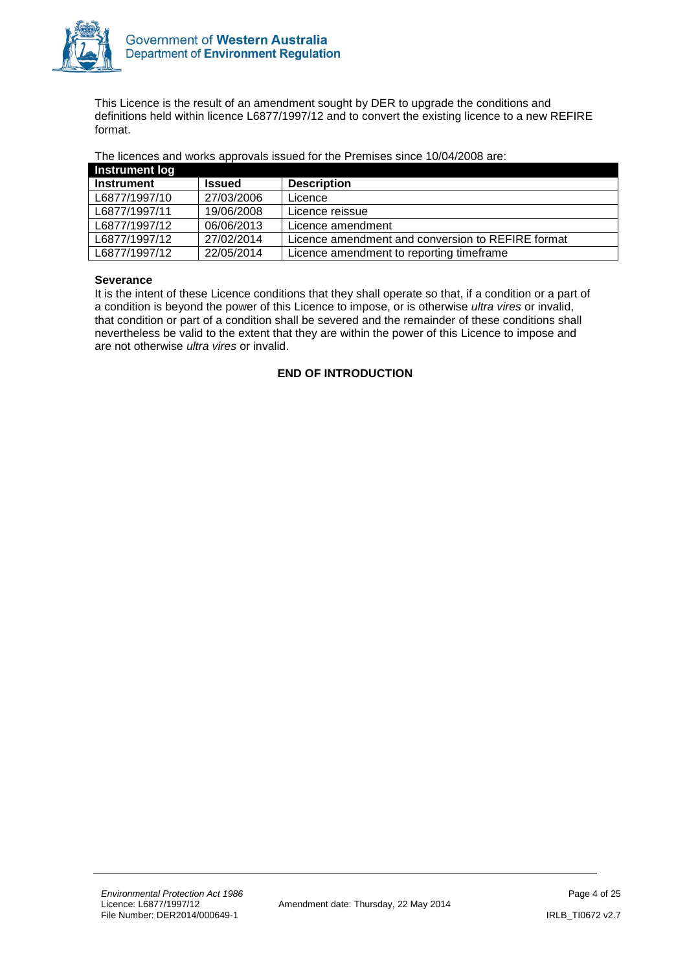

This Licence is the result of an amendment sought by DER to upgrade the conditions and definitions held within licence L6877/1997/12 and to convert the existing licence to a new REFIRE format.

The licences and works approvals issued for the Premises since 10/04/2008 are:

| Instrument log    |               |                                                   |
|-------------------|---------------|---------------------------------------------------|
| <b>Instrument</b> | <b>Issued</b> | <b>Description</b>                                |
| L6877/1997/10     | 27/03/2006    | Licence                                           |
| L6877/1997/11     | 19/06/2008    | Licence reissue                                   |
| L6877/1997/12     | 06/06/2013    | Licence amendment                                 |
| L6877/1997/12     | 27/02/2014    | Licence amendment and conversion to REFIRE format |
| L6877/1997/12     | 22/05/2014    | Licence amendment to reporting timeframe          |

#### **Severance**

<span id="page-3-0"></span>It is the intent of these Licence conditions that they shall operate so that, if a condition or a part of a condition is beyond the power of this Licence to impose, or is otherwise *ultra vires* or invalid, that condition or part of a condition shall be severed and the remainder of these conditions shall nevertheless be valid to the extent that they are within the power of this Licence to impose and are not otherwise *ultra vires* or invalid.

#### **END OF INTRODUCTION**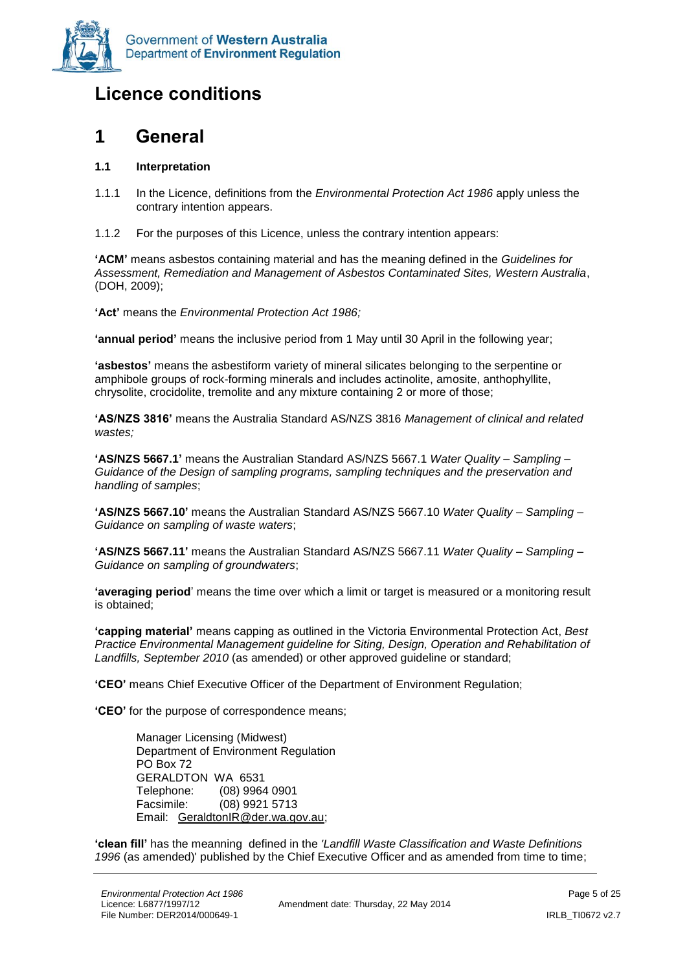

## **Licence conditions**

### <span id="page-4-0"></span>**1 General**

#### **1.1 Interpretation**

- 1.1.1 In the Licence, definitions from the *Environmental Protection Act 1986* apply unless the contrary intention appears.
- 1.1.2 For the purposes of this Licence, unless the contrary intention appears:

**'ACM'** means asbestos containing material and has the meaning defined in the *Guidelines for Assessment, Remediation and Management of Asbestos Contaminated Sites, Western Australia*, (DOH, 2009);

**'Act'** means the *Environmental Protection Act 1986;*

**'annual period'** means the inclusive period from 1 May until 30 April in the following year;

**'asbestos'** means the asbestiform variety of mineral silicates belonging to the serpentine or amphibole groups of rock-forming minerals and includes actinolite, amosite, anthophyllite, chrysolite, crocidolite, tremolite and any mixture containing 2 or more of those;

**'AS/NZS 3816'** means the Australia Standard AS/NZS 3816 *Management of clinical and related wastes;*

**'AS/NZS 5667.1'** means the Australian Standard AS/NZS 5667.1 *Water Quality – Sampling – Guidance of the Design of sampling programs, sampling techniques and the preservation and handling of samples*;

**'AS/NZS 5667.10'** means the Australian Standard AS/NZS 5667.10 *Water Quality – Sampling – Guidance on sampling of waste waters*;

**'AS/NZS 5667.11'** means the Australian Standard AS/NZS 5667.11 *Water Quality – Sampling – Guidance on sampling of groundwaters*;

**'averaging period**' means the time over which a limit or target is measured or a monitoring result is obtained;

**'capping material'** means capping as outlined in the Victoria Environmental Protection Act, *Best Practice Environmental Management guideline for Siting, Design, Operation and Rehabilitation of Landfills, September 2010* (as amended) or other approved guideline or standard;

**'CEO'** means Chief Executive Officer of the Department of Environment Regulation;

**'CEO'** for the purpose of correspondence means;

Manager Licensing (Midwest) Department of Environment Regulation PO Box 72 GERALDTON WA 6531 Telephone: (08) 9964 0901 Facsimile: (08) 9921 5713 Email: [GeraldtonIR@der.wa.gov.au;](mailto:GeraldtonIR@der.wa.gov.au)

**'clean fill'** has the meanning defined in the *'Landfill Waste Classification and Waste Definitions*  1996 (as amended)' published by the Chief Executive Officer and as amended from time to time;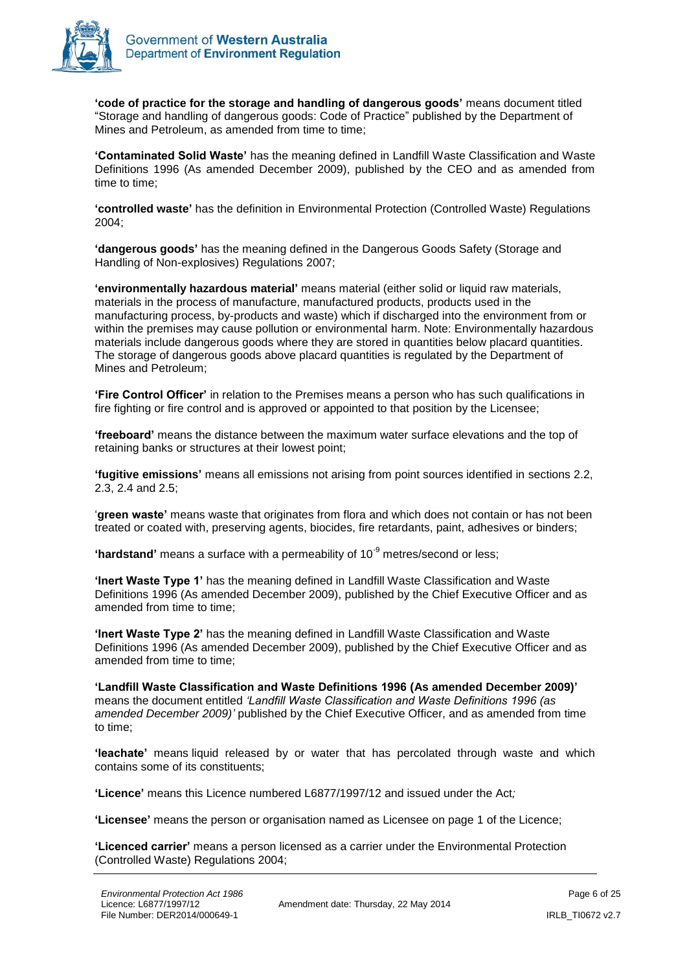

**'code of practice for the storage and handling of dangerous goods'** means document titled "Storage and handling of dangerous goods: Code of Practice" published by the Department of Mines and Petroleum, as amended from time to time;

**'Contaminated Solid Waste'** has the meaning defined in Landfill Waste Classification and Waste Definitions 1996 (As amended December 2009), published by the CEO and as amended from time to time;

**'controlled waste'** has the definition in Environmental Protection (Controlled Waste) Regulations 2004;

**'dangerous goods'** has the meaning defined in the Dangerous Goods Safety (Storage and Handling of Non-explosives) Regulations 2007;

**'environmentally hazardous material'** means material (either solid or liquid raw materials, materials in the process of manufacture, manufactured products, products used in the manufacturing process, by-products and waste) which if discharged into the environment from or within the premises may cause pollution or environmental harm. Note: Environmentally hazardous materials include dangerous goods where they are stored in quantities below placard quantities. The storage of dangerous goods above placard quantities is regulated by the Department of Mines and Petroleum;

**'Fire Control Officer'** in relation to the Premises means a person who has such qualifications in fire fighting or fire control and is approved or appointed to that position by the Licensee;

**'freeboard'** means the distance between the maximum water surface elevations and the top of retaining banks or structures at their lowest point;

**'fugitive emissions'** means all emissions not arising from point sources identified in sections 2.2, 2.3, 2.4 and 2.5;

'**green waste'** means waste that originates from flora and which does not contain or has not been treated or coated with, preserving agents, biocides, fire retardants, paint, adhesives or binders;

**'hardstand'** means a surface with a permeability of 10<sup>-9</sup> metres/second or less;

**'Inert Waste Type 1'** has the meaning defined in Landfill Waste Classification and Waste Definitions 1996 (As amended December 2009), published by the Chief Executive Officer and as amended from time to time;

**'Inert Waste Type 2'** has the meaning defined in Landfill Waste Classification and Waste Definitions 1996 (As amended December 2009), published by the Chief Executive Officer and as amended from time to time;

**'Landfill Waste Classification and Waste Definitions 1996 (As amended December 2009)'**  means the document entitled *'Landfill Waste Classification and Waste Definitions 1996 (as amended December 2009)'* published by the Chief Executive Officer, and as amended from time to time;

**'leachate'** means liquid released by or water that has percolated through waste and which contains some of its constituents;

**'Licence'** means this Licence numbered L6877/1997/12 and issued under the Act*;*

**'Licensee'** means the person or organisation named as Licensee on page 1 of the Licence;

**'Licenced carrier'** means a person licensed as a carrier under the Environmental Protection (Controlled Waste) Regulations 2004;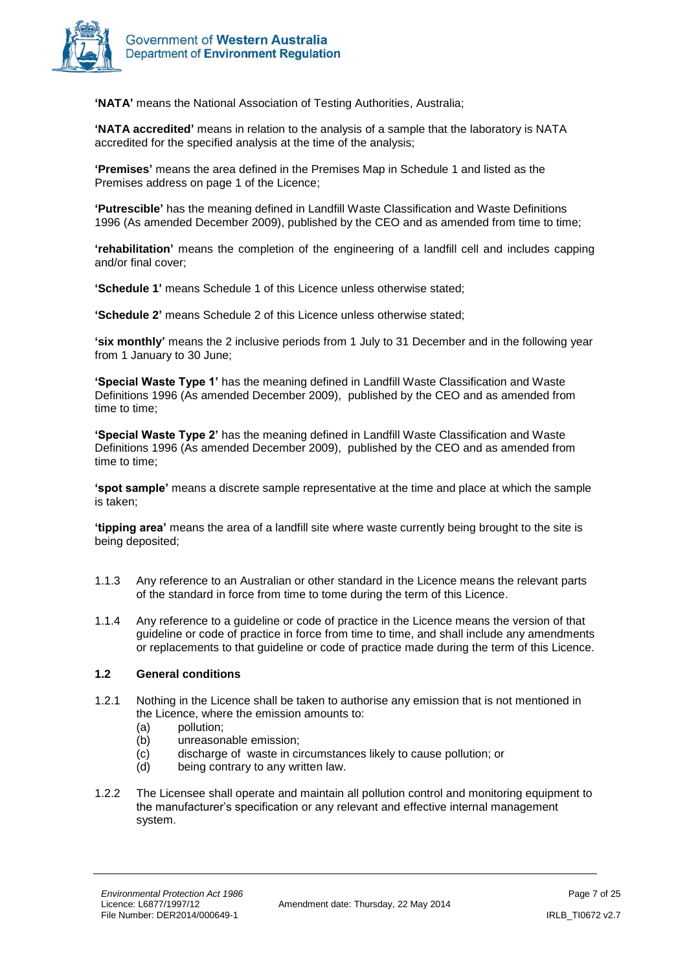

**'NATA'** means the National Association of Testing Authorities, Australia;

**'NATA accredited'** means in relation to the analysis of a sample that the laboratory is NATA accredited for the specified analysis at the time of the analysis;

**'Premises'** means the area defined in the Premises Map in Schedule 1 and listed as the Premises address on page 1 of the Licence;

**'Putrescible'** has the meaning defined in Landfill Waste Classification and Waste Definitions 1996 (As amended December 2009), published by the CEO and as amended from time to time;

**'rehabilitation'** means the completion of the engineering of a landfill cell and includes capping and/or final cover;

**'Schedule 1'** means Schedule 1 of this Licence unless otherwise stated;

**'Schedule 2'** means Schedule 2 of this Licence unless otherwise stated;

**'six monthly'** means the 2 inclusive periods from 1 July to 31 December and in the following year from 1 January to 30 June;

**'Special Waste Type 1'** has the meaning defined in Landfill Waste Classification and Waste Definitions 1996 (As amended December 2009), published by the CEO and as amended from time to time;

**'Special Waste Type 2'** has the meaning defined in Landfill Waste Classification and Waste Definitions 1996 (As amended December 2009), published by the CEO and as amended from time to time;

**'spot sample'** means a discrete sample representative at the time and place at which the sample is taken;

**'tipping area'** means the area of a landfill site where waste currently being brought to the site is being deposited;

- 1.1.3 Any reference to an Australian or other standard in the Licence means the relevant parts of the standard in force from time to tome during the term of this Licence.
- 1.1.4 Any reference to a guideline or code of practice in the Licence means the version of that guideline or code of practice in force from time to time, and shall include any amendments or replacements to that guideline or code of practice made during the term of this Licence.

#### **1.2 General conditions**

- 1.2.1 Nothing in the Licence shall be taken to authorise any emission that is not mentioned in the Licence, where the emission amounts to:
	- (a) pollution;
	- (b) unreasonable emission;
	- (c) discharge of waste in circumstances likely to cause pollution; or
	- (d) being contrary to any written law.
- 1.2.2 The Licensee shall operate and maintain all pollution control and monitoring equipment to the manufacturer's specification or any relevant and effective internal management system.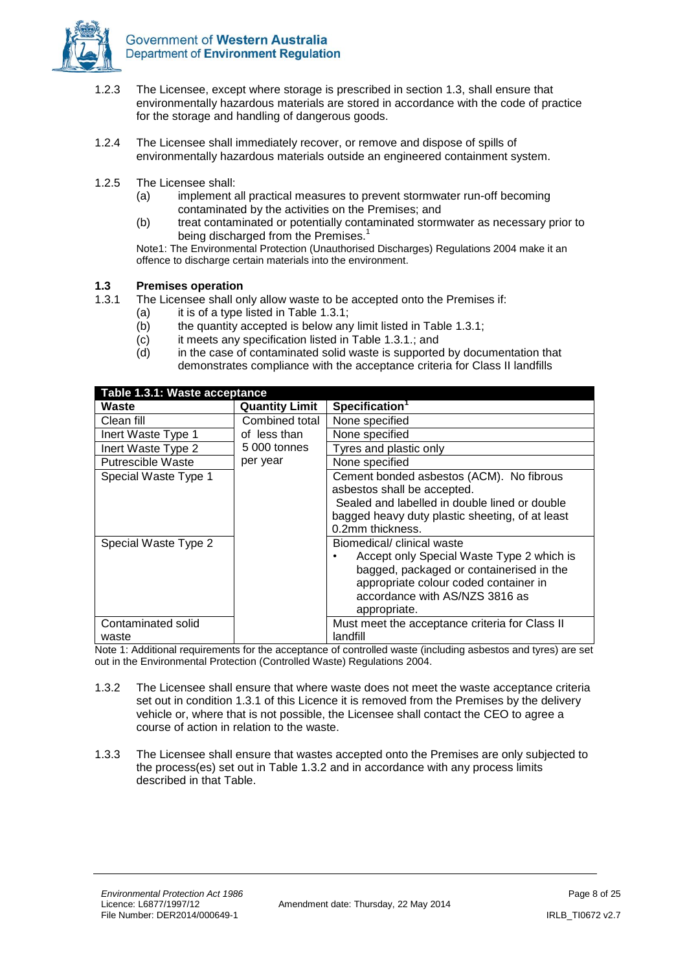

- 1.2.3 The Licensee, except where storage is prescribed in section 1.3, shall ensure that environmentally hazardous materials are stored in accordance with the code of practice for the storage and handling of dangerous goods.
- 1.2.4 The Licensee shall immediately recover, or remove and dispose of spills of environmentally hazardous materials outside an engineered containment system.
- 1.2.5 The Licensee shall:
	- (a) implement all practical measures to prevent stormwater run-off becoming contaminated by the activities on the Premises; and
	- (b) treat contaminated or potentially contaminated stormwater as necessary prior to being discharged from the Premises.<sup>1</sup>

Note1: The Environmental Protection (Unauthorised Discharges) Regulations 2004 make it an offence to discharge certain materials into the environment.

#### **1.3 Premises operation**

- 1.3.1 The Licensee shall only allow waste to be accepted onto the Premises if:
	- (a) it is of a type listed in Table 1.3.1;
		- (b) the quantity accepted is below any limit listed in Table 1.3.1;
		- (c) it meets any specification listed in Table 1.3.1.; and
		- (d) in the case of contaminated solid waste is supported by documentation that demonstrates compliance with the acceptance criteria for Class II landfills

| Table 1.3.1: Waste acceptance |                       |                                                                                                                                                                                                                |  |  |  |
|-------------------------------|-----------------------|----------------------------------------------------------------------------------------------------------------------------------------------------------------------------------------------------------------|--|--|--|
| Waste                         | <b>Quantity Limit</b> | Specification <sup>1</sup>                                                                                                                                                                                     |  |  |  |
| Clean fill                    | Combined total        | None specified                                                                                                                                                                                                 |  |  |  |
| Inert Waste Type 1            | of less than          | None specified                                                                                                                                                                                                 |  |  |  |
| Inert Waste Type 2            | 5 000 tonnes          | Tyres and plastic only                                                                                                                                                                                         |  |  |  |
| <b>Putrescible Waste</b>      | per year              | None specified                                                                                                                                                                                                 |  |  |  |
| Special Waste Type 1          |                       | Cement bonded asbestos (ACM). No fibrous<br>asbestos shall be accepted.<br>Sealed and labelled in double lined or double<br>bagged heavy duty plastic sheeting, of at least<br>0.2mm thickness.                |  |  |  |
| Special Waste Type 2          |                       | Biomedical/ clinical waste<br>Accept only Special Waste Type 2 which is<br>bagged, packaged or containerised in the<br>appropriate colour coded container in<br>accordance with AS/NZS 3816 as<br>appropriate. |  |  |  |
| Contaminated solid            |                       | Must meet the acceptance criteria for Class II                                                                                                                                                                 |  |  |  |
| waste                         |                       | landfill                                                                                                                                                                                                       |  |  |  |

Note 1: Additional requirements for the acceptance of controlled waste (including asbestos and tyres) are set out in the Environmental Protection (Controlled Waste) Regulations 2004.

- 1.3.2 The Licensee shall ensure that where waste does not meet the waste acceptance criteria set out in condition 1.3.1 of this Licence it is removed from the Premises by the delivery vehicle or, where that is not possible, the Licensee shall contact the CEO to agree a course of action in relation to the waste.
- 1.3.3 The Licensee shall ensure that wastes accepted onto the Premises are only subjected to the process(es) set out in Table 1.3.2 and in accordance with any process limits described in that Table.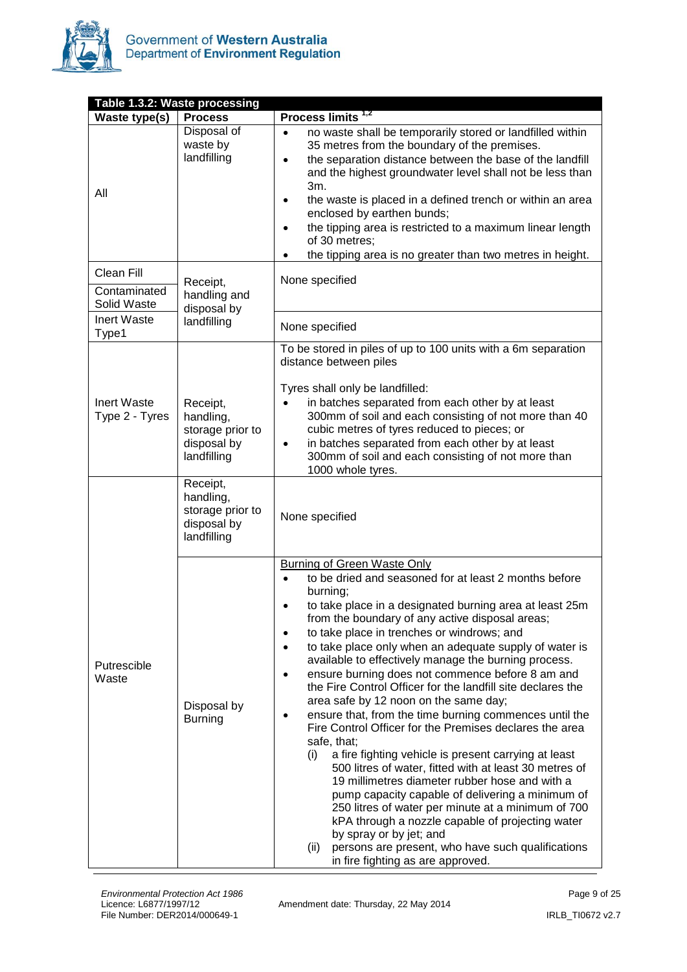

| Table 1.3.2: Waste processing |                                                                         |                                                                                                                                                                                                                                                                                                                                                                                                                                                                                                                                                                                                                                                                                                                                                                                                                                                                                                                                                                                                                                                                                                                                                                                       |  |  |  |  |
|-------------------------------|-------------------------------------------------------------------------|---------------------------------------------------------------------------------------------------------------------------------------------------------------------------------------------------------------------------------------------------------------------------------------------------------------------------------------------------------------------------------------------------------------------------------------------------------------------------------------------------------------------------------------------------------------------------------------------------------------------------------------------------------------------------------------------------------------------------------------------------------------------------------------------------------------------------------------------------------------------------------------------------------------------------------------------------------------------------------------------------------------------------------------------------------------------------------------------------------------------------------------------------------------------------------------|--|--|--|--|
| Waste type(s)                 | <b>Process</b>                                                          | Process limits <sup>1,2</sup>                                                                                                                                                                                                                                                                                                                                                                                                                                                                                                                                                                                                                                                                                                                                                                                                                                                                                                                                                                                                                                                                                                                                                         |  |  |  |  |
| All                           | Disposal of<br>waste by<br>landfilling                                  | no waste shall be temporarily stored or landfilled within<br>$\bullet$<br>35 metres from the boundary of the premises.<br>the separation distance between the base of the landfill<br>$\bullet$<br>and the highest groundwater level shall not be less than<br>3m.<br>the waste is placed in a defined trench or within an area<br>$\bullet$<br>enclosed by earthen bunds;<br>the tipping area is restricted to a maximum linear length<br>$\bullet$<br>of 30 metres;<br>the tipping area is no greater than two metres in height.                                                                                                                                                                                                                                                                                                                                                                                                                                                                                                                                                                                                                                                    |  |  |  |  |
| Clean Fill                    | Receipt,                                                                | None specified                                                                                                                                                                                                                                                                                                                                                                                                                                                                                                                                                                                                                                                                                                                                                                                                                                                                                                                                                                                                                                                                                                                                                                        |  |  |  |  |
| Contaminated<br>Solid Waste   | handling and<br>disposal by                                             |                                                                                                                                                                                                                                                                                                                                                                                                                                                                                                                                                                                                                                                                                                                                                                                                                                                                                                                                                                                                                                                                                                                                                                                       |  |  |  |  |
| Inert Waste<br>Type1          | landfilling                                                             | None specified                                                                                                                                                                                                                                                                                                                                                                                                                                                                                                                                                                                                                                                                                                                                                                                                                                                                                                                                                                                                                                                                                                                                                                        |  |  |  |  |
| Inert Waste<br>Type 2 - Tyres | Receipt,<br>handling,<br>storage prior to<br>disposal by<br>landfilling | To be stored in piles of up to 100 units with a 6m separation<br>distance between piles<br>Tyres shall only be landfilled:<br>in batches separated from each other by at least<br>$\bullet$<br>300mm of soil and each consisting of not more than 40<br>cubic metres of tyres reduced to pieces; or<br>in batches separated from each other by at least<br>٠<br>300mm of soil and each consisting of not more than<br>1000 whole tyres.                                                                                                                                                                                                                                                                                                                                                                                                                                                                                                                                                                                                                                                                                                                                               |  |  |  |  |
|                               | Receipt,<br>handling,<br>storage prior to<br>disposal by<br>landfilling | None specified                                                                                                                                                                                                                                                                                                                                                                                                                                                                                                                                                                                                                                                                                                                                                                                                                                                                                                                                                                                                                                                                                                                                                                        |  |  |  |  |
| Putrescible<br>Waste          | Disposal by<br><b>Burning</b>                                           | <b>Burning of Green Waste Only</b><br>to be dried and seasoned for at least 2 months before<br>burning;<br>to take place in a designated burning area at least 25m<br>from the boundary of any active disposal areas;<br>to take place in trenches or windrows; and<br>to take place only when an adequate supply of water is<br>$\bullet$<br>available to effectively manage the burning process.<br>ensure burning does not commence before 8 am and<br>$\bullet$<br>the Fire Control Officer for the landfill site declares the<br>area safe by 12 noon on the same day;<br>ensure that, from the time burning commences until the<br>Fire Control Officer for the Premises declares the area<br>safe, that;<br>a fire fighting vehicle is present carrying at least<br>(i)<br>500 litres of water, fitted with at least 30 metres of<br>19 millimetres diameter rubber hose and with a<br>pump capacity capable of delivering a minimum of<br>250 litres of water per minute at a minimum of 700<br>kPA through a nozzle capable of projecting water<br>by spray or by jet; and<br>persons are present, who have such qualifications<br>(ii)<br>in fire fighting as are approved. |  |  |  |  |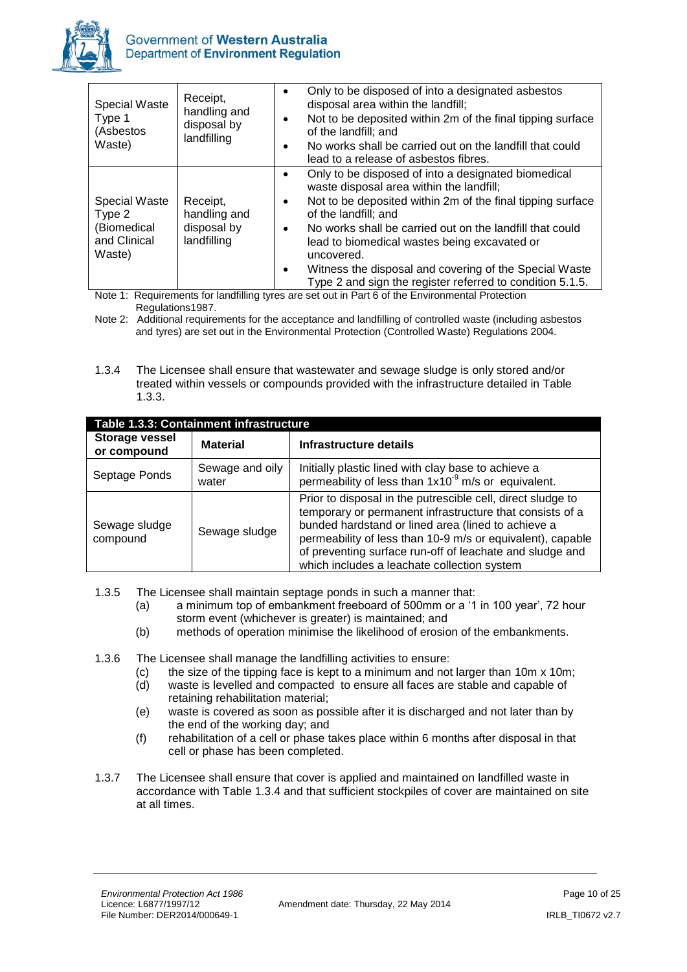

| <b>Special Waste</b><br>Type 1<br>(Asbestos<br>Waste)                   | Receipt,<br>handling and<br>disposal by<br>landfilling | Only to be disposed of into a designated asbestos<br>$\bullet$<br>disposal area within the landfill;<br>Not to be deposited within 2m of the final tipping surface<br>of the landfill; and<br>No works shall be carried out on the landfill that could<br>lead to a release of asbestos fibres.                                                                                                                                                                                                                                                                                                |
|-------------------------------------------------------------------------|--------------------------------------------------------|------------------------------------------------------------------------------------------------------------------------------------------------------------------------------------------------------------------------------------------------------------------------------------------------------------------------------------------------------------------------------------------------------------------------------------------------------------------------------------------------------------------------------------------------------------------------------------------------|
| <b>Special Waste</b><br>Type 2<br>(Biomedical<br>and Clinical<br>Waste) | Receipt,<br>handling and<br>disposal by<br>landfilling | Only to be disposed of into a designated biomedical<br>$\bullet$<br>waste disposal area within the landfill;<br>Not to be deposited within 2m of the final tipping surface<br>$\bullet$<br>of the landfill; and<br>No works shall be carried out on the landfill that could<br>$\bullet$<br>lead to biomedical wastes being excavated or<br>uncovered.<br>Witness the disposal and covering of the Special Waste<br>$\bullet$<br>Type 2 and sign the register referred to condition 5.1.5.<br>Note 1: Requirements for landfilling turns are not out in Dart 6 of the Environmental Dratection |

Note 1: Requirements for landfilling tyres are set out in Part 6 of the Environmental Protection Regulations1987.

Note 2: Additional requirements for the acceptance and landfilling of controlled waste (including asbestos and tyres) are set out in the Environmental Protection (Controlled Waste) Regulations 2004.

1.3.4 The Licensee shall ensure that wastewater and sewage sludge is only stored and/or treated within vessels or compounds provided with the infrastructure detailed in Table 1.3.3.

| Table 1.3.3: Containment infrastructure |                          |                                                                                                                                                                                                                                                                                                                                                        |  |  |  |
|-----------------------------------------|--------------------------|--------------------------------------------------------------------------------------------------------------------------------------------------------------------------------------------------------------------------------------------------------------------------------------------------------------------------------------------------------|--|--|--|
| <b>Storage vessel</b><br>or compound    | <b>Material</b>          | Infrastructure details                                                                                                                                                                                                                                                                                                                                 |  |  |  |
| Septage Ponds                           | Sewage and oily<br>water | Initially plastic lined with clay base to achieve a<br>permeability of less than $1x10^{-9}$ m/s or equivalent.                                                                                                                                                                                                                                        |  |  |  |
| Sewage sludge<br>compound               | Sewage sludge            | Prior to disposal in the putrescible cell, direct sludge to<br>temporary or permanent infrastructure that consists of a<br>bunded hardstand or lined area (lined to achieve a<br>permeability of less than 10-9 m/s or equivalent), capable<br>of preventing surface run-off of leachate and sludge and<br>which includes a leachate collection system |  |  |  |

1.3.5 The Licensee shall maintain septage ponds in such a manner that:

- (a) a minimum top of embankment freeboard of 500mm or a '1 in 100 year', 72 hour storm event (whichever is greater) is maintained; and
- (b) methods of operation minimise the likelihood of erosion of the embankments.
- 1.3.6 The Licensee shall manage the landfilling activities to ensure:
	- (c) the size of the tipping face is kept to a minimum and not larger than 10m x 10m;<br>(d) waste is levelled and compacted to ensure all faces are stable and capable of
	- waste is levelled and compacted to ensure all faces are stable and capable of retaining rehabilitation material;
	- (e) waste is covered as soon as possible after it is discharged and not later than by the end of the working day; and
	- (f) rehabilitation of a cell or phase takes place within 6 months after disposal in that cell or phase has been completed.
- 1.3.7 The Licensee shall ensure that cover is applied and maintained on landfilled waste in accordance with Table 1.3.4 and that sufficient stockpiles of cover are maintained on site at all times.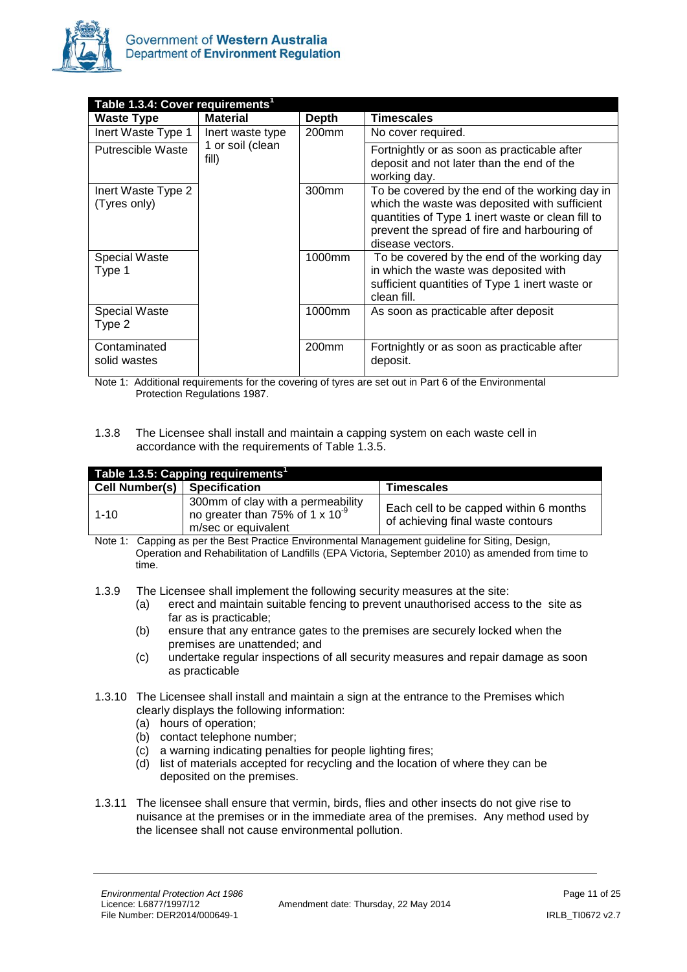

| Table 1.3.4: Cover requirements <sup>1</sup> |                           |                   |                                                                                                                                                                                                                          |  |  |
|----------------------------------------------|---------------------------|-------------------|--------------------------------------------------------------------------------------------------------------------------------------------------------------------------------------------------------------------------|--|--|
| <b>Waste Type</b>                            | <b>Material</b>           | <b>Depth</b>      | <b>Timescales</b>                                                                                                                                                                                                        |  |  |
| Inert Waste Type 1                           | Inert waste type          | 200mm             | No cover required.                                                                                                                                                                                                       |  |  |
| Putrescible Waste                            | 1 or soil (clean<br>fill) |                   | Fortnightly or as soon as practicable after<br>deposit and not later than the end of the<br>working day.                                                                                                                 |  |  |
| Inert Waste Type 2<br>(Tyres only)           |                           | 300 <sub>mm</sub> | To be covered by the end of the working day in<br>which the waste was deposited with sufficient<br>quantities of Type 1 inert waste or clean fill to<br>prevent the spread of fire and harbouring of<br>disease vectors. |  |  |
| Special Waste<br>Type 1                      |                           | 1000mm            | To be covered by the end of the working day<br>in which the waste was deposited with<br>sufficient quantities of Type 1 inert waste or<br>clean fill.                                                                    |  |  |
| <b>Special Waste</b><br>Type 2               |                           | 1000mm            | As soon as practicable after deposit                                                                                                                                                                                     |  |  |
| Contaminated<br>solid wastes                 |                           | 200 <sub>mm</sub> | Fortnightly or as soon as practicable after<br>deposit.                                                                                                                                                                  |  |  |

Note 1: Additional requirements for the covering of tyres are set out in Part 6 of the Environmental Protection Regulations 1987.

1.3.8 The Licensee shall install and maintain a capping system on each waste cell in accordance with the requirements of Table 1.3.5.

| Table 1.3.5: Capping requirements <sup>1</sup> |                                                                                                                |                                                                             |  |  |  |
|------------------------------------------------|----------------------------------------------------------------------------------------------------------------|-----------------------------------------------------------------------------|--|--|--|
| Cell Number(s)   Specification                 |                                                                                                                | Timescales                                                                  |  |  |  |
| $1 - 10$                                       | 300mm of clay with a permeability<br>no greater than 75% of 1 $\times$ 10 <sup>-9</sup><br>m/sec or equivalent | Each cell to be capped within 6 months<br>of achieving final waste contours |  |  |  |

Note 1: Capping as per the Best Practice Environmental Management guideline for Siting, Design, Operation and Rehabilitation of Landfills (EPA Victoria, September 2010) as amended from time to time.

- 1.3.9 The Licensee shall implement the following security measures at the site:
	- (a) erect and maintain suitable fencing to prevent unauthorised access to the site as far as is practicable;
	- (b) ensure that any entrance gates to the premises are securely locked when the premises are unattended; and
	- (c) undertake regular inspections of all security measures and repair damage as soon as practicable
- 1.3.10 The Licensee shall install and maintain a sign at the entrance to the Premises which clearly displays the following information:
	- (a) hours of operation;
	- (b) contact telephone number;
	- (c) a warning indicating penalties for people lighting fires;
	- (d) list of materials accepted for recycling and the location of where they can be deposited on the premises.
- 1.3.11 The licensee shall ensure that vermin, birds, flies and other insects do not give rise to nuisance at the premises or in the immediate area of the premises. Any method used by the licensee shall not cause environmental pollution.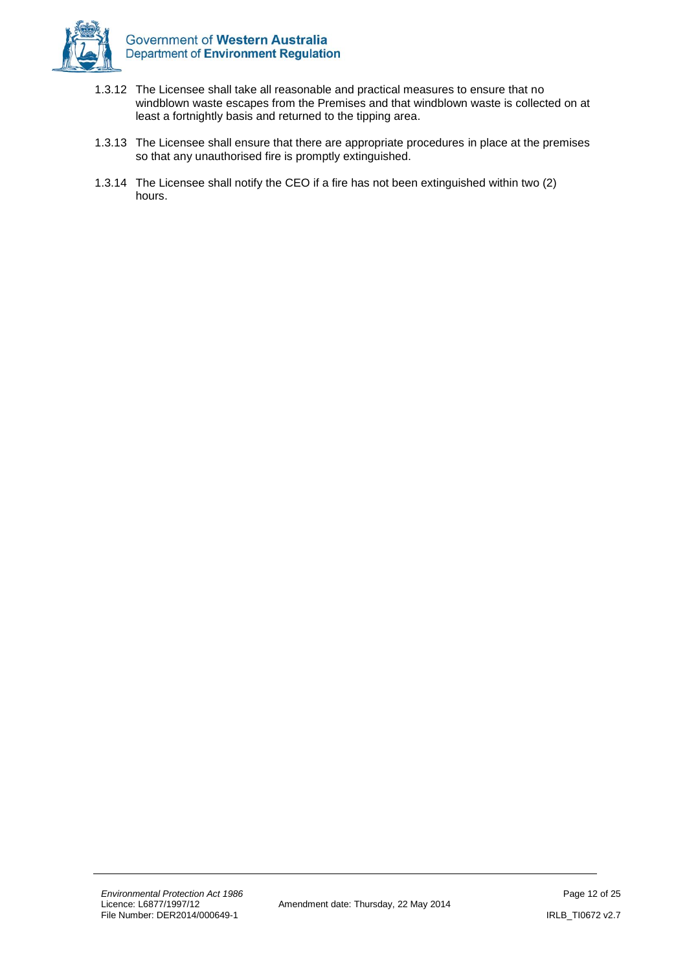

- 1.3.12 The Licensee shall take all reasonable and practical measures to ensure that no windblown waste escapes from the Premises and that windblown waste is collected on at least a fortnightly basis and returned to the tipping area.
- 1.3.13 The Licensee shall ensure that there are appropriate procedures in place at the premises so that any unauthorised fire is promptly extinguished.
- 1.3.14 The Licensee shall notify the CEO if a fire has not been extinguished within two (2) hours.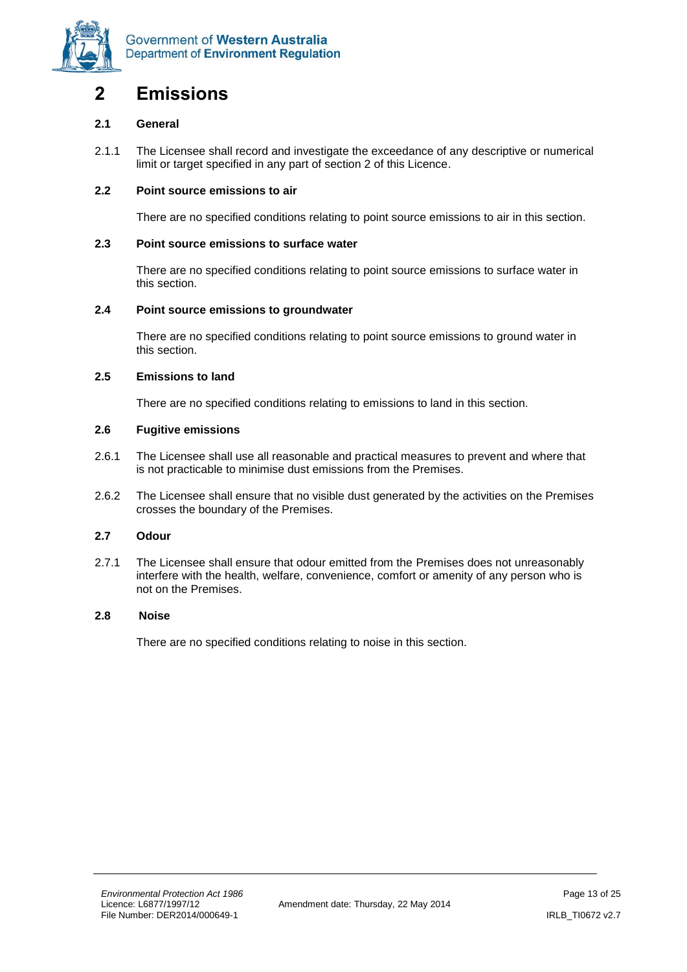

### <span id="page-12-0"></span>**2 Emissions**

#### **2.1 General**

2.1.1 The Licensee shall record and investigate the exceedance of any descriptive or numerical limit or target specified in any part of section 2 of this Licence.

#### **2.2 Point source emissions to air**

There are no specified conditions relating to point source emissions to air in this section.

#### **2.3 Point source emissions to surface water**

There are no specified conditions relating to point source emissions to surface water in this section.

#### **2.4 Point source emissions to groundwater**

There are no specified conditions relating to point source emissions to ground water in this section.

#### **2.5 Emissions to land**

There are no specified conditions relating to emissions to land in this section.

#### **2.6 Fugitive emissions**

- 2.6.1 The Licensee shall use all reasonable and practical measures to prevent and where that is not practicable to minimise dust emissions from the Premises.
- 2.6.2 The Licensee shall ensure that no visible dust generated by the activities on the Premises crosses the boundary of the Premises.

#### **2.7 Odour**

2.7.1 The Licensee shall ensure that odour emitted from the Premises does not unreasonably interfere with the health, welfare, convenience, comfort or amenity of any person who is not on the Premises.

#### **2.8 Noise**

There are no specified conditions relating to noise in this section.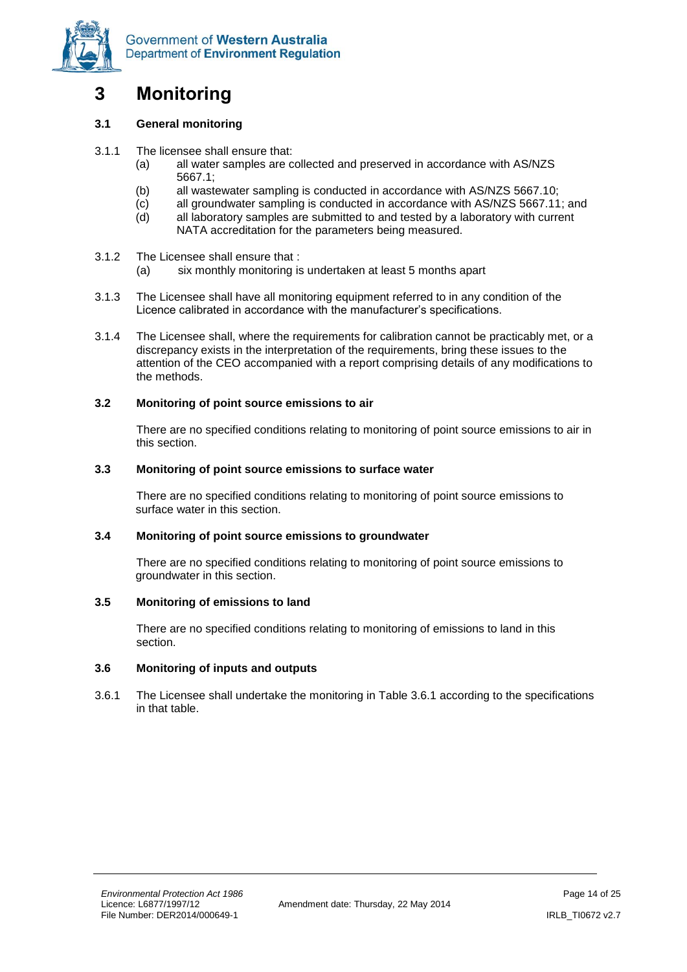

# <span id="page-13-0"></span>**3 Monitoring**

#### **3.1 General monitoring**

- 3.1.1 The licensee shall ensure that:
	- (a) all water samples are collected and preserved in accordance with AS/NZS 5667.1;
	- (b) all wastewater sampling is conducted in accordance with AS/NZS 5667.10;
	- (c) all groundwater sampling is conducted in accordance with AS/NZS 5667.11; and
	- (d) all laboratory samples are submitted to and tested by a laboratory with current NATA accreditation for the parameters being measured.
- 3.1.2 The Licensee shall ensure that :
	- (a) six monthly monitoring is undertaken at least 5 months apart
- 3.1.3 The Licensee shall have all monitoring equipment referred to in any condition of the Licence calibrated in accordance with the manufacturer's specifications.
- 3.1.4 The Licensee shall, where the requirements for calibration cannot be practicably met, or a discrepancy exists in the interpretation of the requirements, bring these issues to the attention of the CEO accompanied with a report comprising details of any modifications to the methods.

#### **3.2 Monitoring of point source emissions to air**

There are no specified conditions relating to monitoring of point source emissions to air in this section.

#### **3.3 Monitoring of point source emissions to surface water**

There are no specified conditions relating to monitoring of point source emissions to surface water in this section.

#### **3.4 Monitoring of point source emissions to groundwater**

There are no specified conditions relating to monitoring of point source emissions to groundwater in this section.

#### **3.5 Monitoring of emissions to land**

There are no specified conditions relating to monitoring of emissions to land in this section.

#### **3.6 Monitoring of inputs and outputs**

3.6.1 The Licensee shall undertake the monitoring in Table 3.6.1 according to the specifications in that table.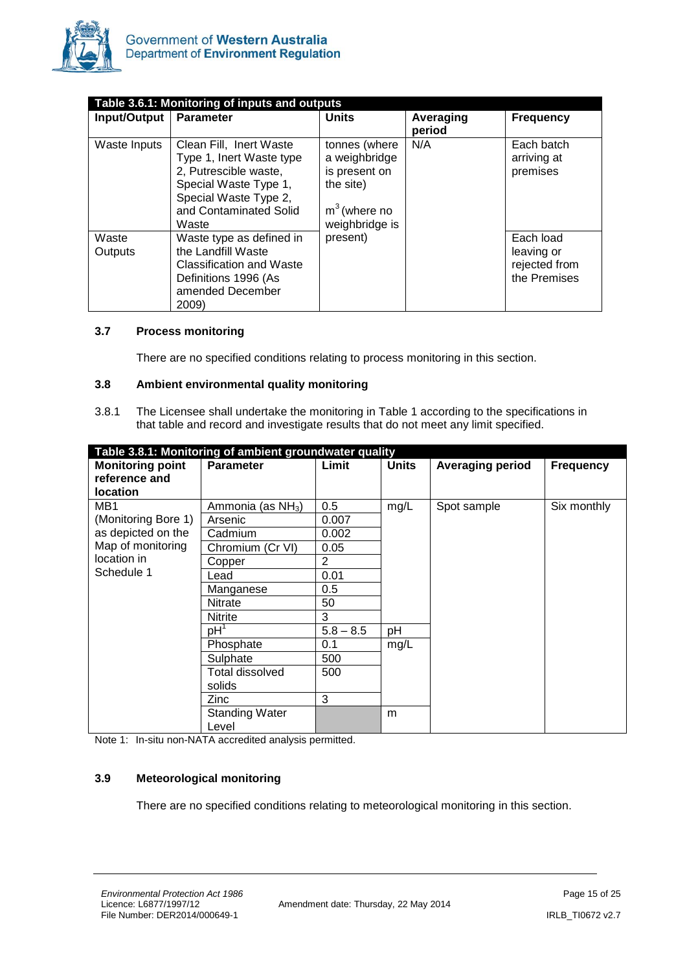

| Table 3.6.1: Monitoring of inputs and outputs |                                                                                                                                                                   |                                                                                                  |                     |                                                          |  |  |
|-----------------------------------------------|-------------------------------------------------------------------------------------------------------------------------------------------------------------------|--------------------------------------------------------------------------------------------------|---------------------|----------------------------------------------------------|--|--|
| Input/Output                                  | <b>Parameter</b>                                                                                                                                                  | <b>Units</b>                                                                                     | Averaging<br>period | <b>Frequency</b>                                         |  |  |
| Waste Inputs                                  | Clean Fill, Inert Waste<br>Type 1, Inert Waste type<br>2, Putrescible waste,<br>Special Waste Type 1,<br>Special Waste Type 2,<br>and Contaminated Solid<br>Waste | tonnes (where<br>a weighbridge<br>is present on<br>the site)<br>$m3$ (where no<br>weighbridge is | N/A                 | Each batch<br>arriving at<br>premises                    |  |  |
| Waste<br>Outputs                              | Waste type as defined in<br>the Landfill Waste<br>Classification and Waste<br>Definitions 1996 (As<br>amended December<br>2009)                                   | present)                                                                                         |                     | Each load<br>leaving or<br>rejected from<br>the Premises |  |  |

#### **3.7 Process monitoring**

There are no specified conditions relating to process monitoring in this section.

#### **3.8 Ambient environmental quality monitoring**

3.8.1 The Licensee shall undertake the monitoring in Table 1 according to the specifications in that table and record and investigate results that do not meet any limit specified.

| Table 3.8.1: Monitoring of ambient groundwater quality |                                |                |              |                         |                  |
|--------------------------------------------------------|--------------------------------|----------------|--------------|-------------------------|------------------|
| <b>Monitoring point</b>                                | <b>Parameter</b>               | Limit          | <b>Units</b> | <b>Averaging period</b> | <b>Frequency</b> |
| reference and                                          |                                |                |              |                         |                  |
| <b>location</b>                                        |                                |                |              |                         |                  |
| MB <sub>1</sub>                                        | Ammonia (as NH <sub>3</sub> )  | 0.5            | mg/L         | Spot sample             | Six monthly      |
| (Monitoring Bore 1)                                    | Arsenic                        | 0.007          |              |                         |                  |
| as depicted on the                                     | Cadmium                        | 0.002          |              |                         |                  |
| Map of monitoring                                      | Chromium (Cr VI)               | 0.05           |              |                         |                  |
| location in                                            | Copper                         | $\overline{2}$ |              |                         |                  |
| Schedule 1                                             | Lead                           | 0.01           |              |                         |                  |
|                                                        | Manganese                      | 0.5            |              |                         |                  |
|                                                        | Nitrate                        | 50             |              |                         |                  |
|                                                        | Nitrite                        | 3              |              |                         |                  |
|                                                        | $pH^1$                         | $5.8 - 8.5$    | рH           |                         |                  |
|                                                        | Phosphate                      | 0.1            | mg/L         |                         |                  |
|                                                        | Sulphate                       | 500            |              |                         |                  |
|                                                        | Total dissolved                | 500            |              |                         |                  |
|                                                        | solids                         |                |              |                         |                  |
|                                                        | Zinc                           | 3              |              |                         |                  |
|                                                        | <b>Standing Water</b><br>Level |                | m            |                         |                  |

Note 1: In-situ non-NATA accredited analysis permitted.

#### **3.9 Meteorological monitoring**

There are no specified conditions relating to meteorological monitoring in this section.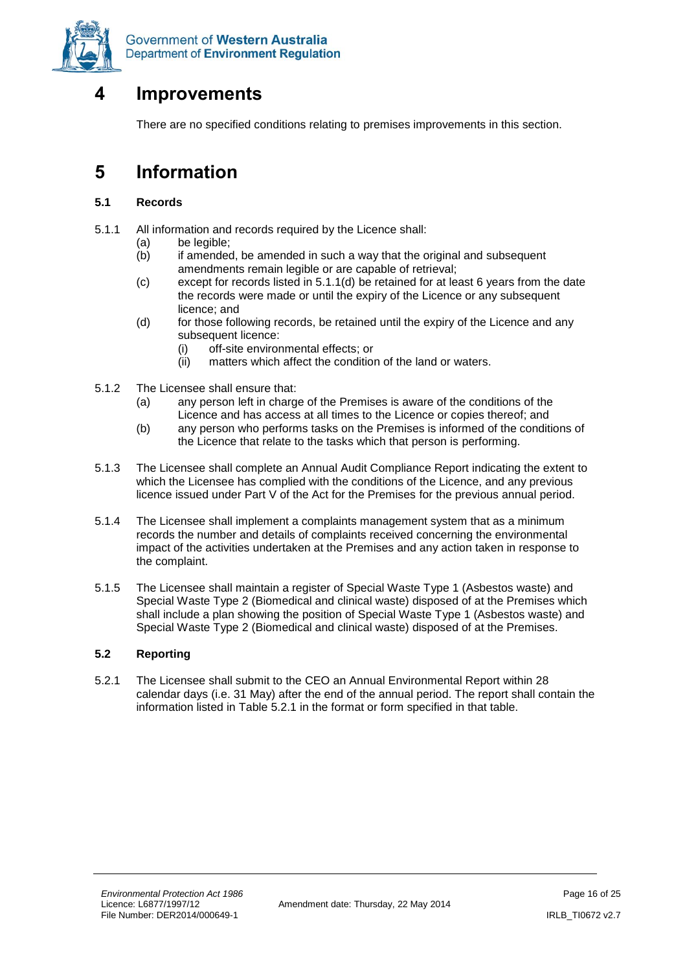

# <span id="page-15-0"></span>**4 Improvements**

There are no specified conditions relating to premises improvements in this section.

### <span id="page-15-1"></span>**5 Information**

#### **5.1 Records**

- 5.1.1 All information and records required by the Licence shall:
	- (a) be legible;
	- (b) if amended, be amended in such a way that the original and subsequent amendments remain legible or are capable of retrieval;
	- (c) except for records listed in 5.1.1(d) be retained for at least 6 years from the date the records were made or until the expiry of the Licence or any subsequent licence; and
	- (d) for those following records, be retained until the expiry of the Licence and any subsequent licence:
		- (i) off-site environmental effects; or
		- (ii) matters which affect the condition of the land or waters.
- 5.1.2 The Licensee shall ensure that:
	- (a) any person left in charge of the Premises is aware of the conditions of the Licence and has access at all times to the Licence or copies thereof; and
	- (b) any person who performs tasks on the Premises is informed of the conditions of the Licence that relate to the tasks which that person is performing.
- 5.1.3 The Licensee shall complete an Annual Audit Compliance Report indicating the extent to which the Licensee has complied with the conditions of the Licence, and any previous licence issued under Part V of the Act for the Premises for the previous annual period.
- 5.1.4 The Licensee shall implement a complaints management system that as a minimum records the number and details of complaints received concerning the environmental impact of the activities undertaken at the Premises and any action taken in response to the complaint.
- 5.1.5 The Licensee shall maintain a register of Special Waste Type 1 (Asbestos waste) and Special Waste Type 2 (Biomedical and clinical waste) disposed of at the Premises which shall include a plan showing the position of Special Waste Type 1 (Asbestos waste) and Special Waste Type 2 (Biomedical and clinical waste) disposed of at the Premises.

#### **5.2 Reporting**

5.2.1 The Licensee shall submit to the CEO an Annual Environmental Report within 28 calendar days (i.e. 31 May) after the end of the annual period. The report shall contain the information listed in Table 5.2.1 in the format or form specified in that table.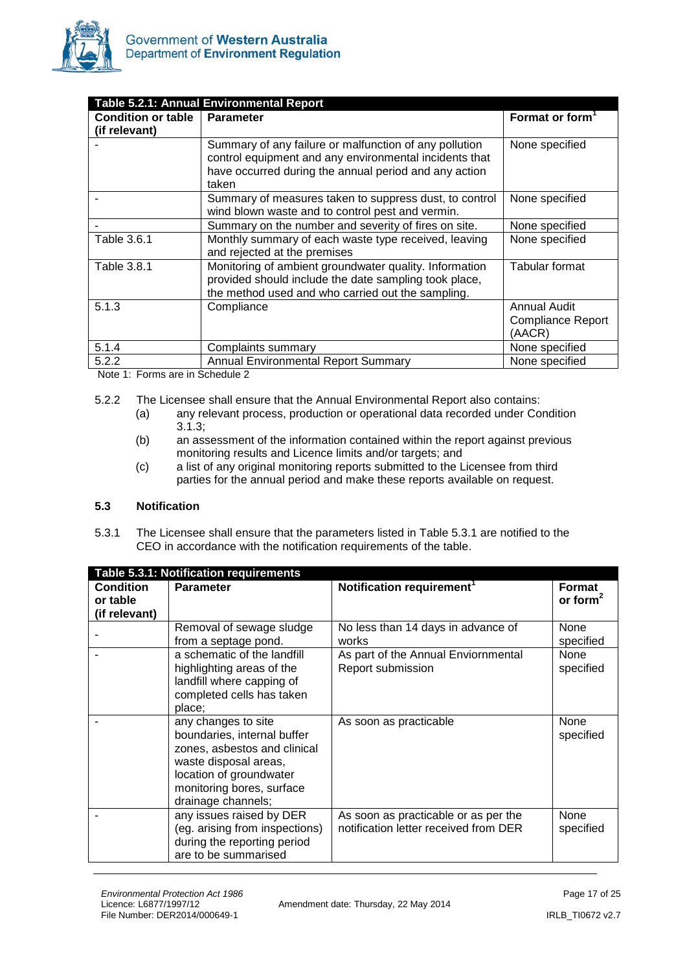

| <b>Table 5.2.1: Annual Environmental Report</b> |                                                        |                             |  |
|-------------------------------------------------|--------------------------------------------------------|-----------------------------|--|
| <b>Condition or table</b>                       | <b>Parameter</b>                                       | Format or form <sup>1</sup> |  |
| (if relevant)                                   |                                                        |                             |  |
|                                                 | Summary of any failure or malfunction of any pollution | None specified              |  |
|                                                 | control equipment and any environmental incidents that |                             |  |
|                                                 | have occurred during the annual period and any action  |                             |  |
|                                                 | taken                                                  |                             |  |
|                                                 | Summary of measures taken to suppress dust, to control | None specified              |  |
|                                                 | wind blown waste and to control pest and vermin.       |                             |  |
|                                                 | Summary on the number and severity of fires on site.   | None specified              |  |
| Table 3.6.1                                     | Monthly summary of each waste type received, leaving   | None specified              |  |
|                                                 | and rejected at the premises                           |                             |  |
| Table 3.8.1                                     | Monitoring of ambient groundwater quality. Information | Tabular format              |  |
|                                                 | provided should include the date sampling took place,  |                             |  |
|                                                 | the method used and who carried out the sampling.      |                             |  |
| 5.1.3                                           | Compliance                                             | <b>Annual Audit</b>         |  |
|                                                 |                                                        | <b>Compliance Report</b>    |  |
|                                                 |                                                        | (AACR)                      |  |
| 5.1.4                                           | Complaints summary                                     | None specified              |  |
| 5.2.2                                           | <b>Annual Environmental Report Summary</b>             | None specified              |  |

Note 1: Forms are in Schedule 2

- 5.2.2 The Licensee shall ensure that the Annual Environmental Report also contains:
	- (a) any relevant process, production or operational data recorded under Condition 3.1.3;
	- (b) an assessment of the information contained within the report against previous monitoring results and Licence limits and/or targets; and
	- (c) a list of any original monitoring reports submitted to the Licensee from third parties for the annual period and make these reports available on request.

#### **5.3 Notification**

5.3.1 The Licensee shall ensure that the parameters listed in Table 5.3.1 are notified to the CEO in accordance with the notification requirements of the table.

| Table 5.3.1: Notification requirements        |                                                                                                                                                                                           |                                                                               |                          |
|-----------------------------------------------|-------------------------------------------------------------------------------------------------------------------------------------------------------------------------------------------|-------------------------------------------------------------------------------|--------------------------|
| <b>Condition</b><br>or table<br>(if relevant) | <b>Parameter</b>                                                                                                                                                                          | Notification requirement <sup>1</sup>                                         | Format<br>or form $2$    |
|                                               | Removal of sewage sludge<br>from a septage pond.                                                                                                                                          | No less than 14 days in advance of<br>works                                   | None<br>specified        |
|                                               | a schematic of the landfill<br>highlighting areas of the<br>landfill where capping of<br>completed cells has taken<br>place;                                                              | As part of the Annual Enviornmental<br>Report submission                      | <b>None</b><br>specified |
|                                               | any changes to site<br>boundaries, internal buffer<br>zones, asbestos and clinical<br>waste disposal areas,<br>location of groundwater<br>monitoring bores, surface<br>drainage channels; | As soon as practicable                                                        | None<br>specified        |
|                                               | any issues raised by DER<br>(eg. arising from inspections)<br>during the reporting period<br>are to be summarised                                                                         | As soon as practicable or as per the<br>notification letter received from DER | <b>None</b><br>specified |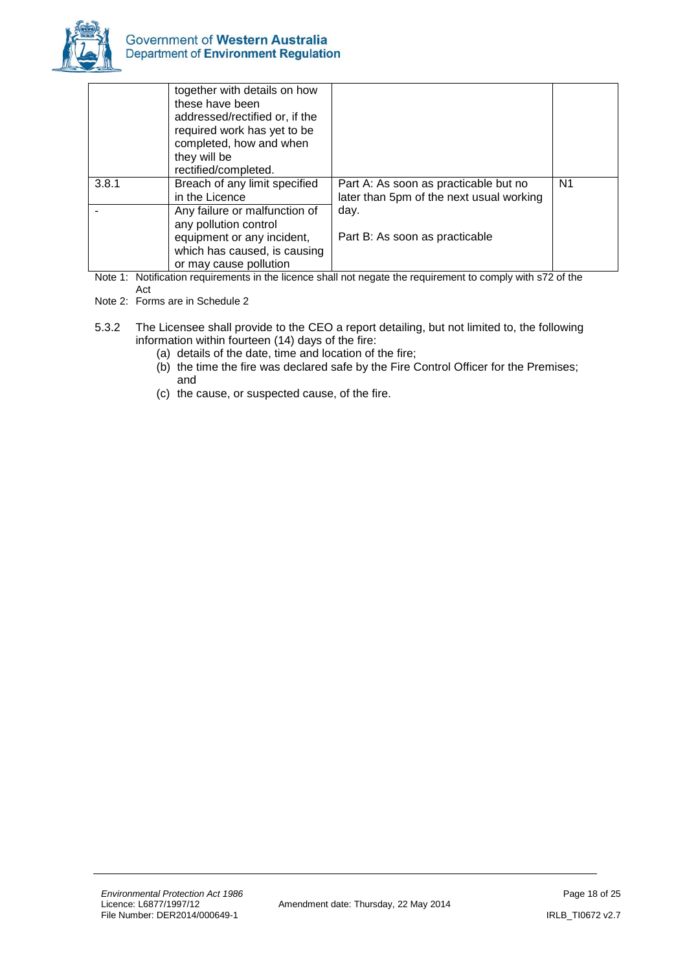

|       | together with details on how<br>these have been<br>addressed/rectified or, if the<br>required work has yet to be<br>completed, how and when<br>they will be<br>rectified/completed. |                                                                                   |                |
|-------|-------------------------------------------------------------------------------------------------------------------------------------------------------------------------------------|-----------------------------------------------------------------------------------|----------------|
| 3.8.1 | Breach of any limit specified<br>in the Licence                                                                                                                                     | Part A: As soon as practicable but no<br>later than 5pm of the next usual working | N <sub>1</sub> |
|       | Any failure or malfunction of<br>any pollution control<br>equipment or any incident,                                                                                                | day.<br>Part B: As soon as practicable                                            |                |
|       | which has caused, is causing<br>or may cause pollution                                                                                                                              |                                                                                   |                |

Note 1: Notification requirements in the licence shall not negate the requirement to comply with s72 of the Act

<span id="page-17-0"></span>Note 2: Forms are in Schedule 2

- 5.3.2 The Licensee shall provide to the CEO a report detailing, but not limited to, the following information within fourteen (14) days of the fire:
	- (a) details of the date, time and location of the fire;
	- (b) the time the fire was declared safe by the Fire Control Officer for the Premises; and
	- (c) the cause, or suspected cause, of the fire.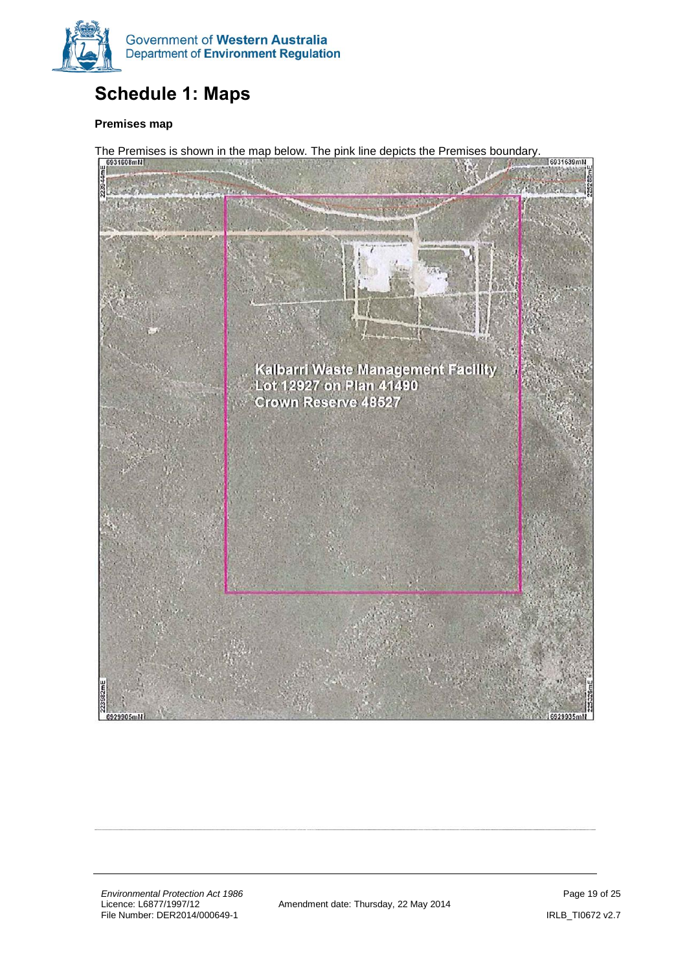

# **Schedule 1: Maps**

#### **Premises map**

The Premises is shown in the map below. The pink line depicts the Premises boundary.<br>  $\int_{\theta}$ <sup>6931608mH</sup> 16931639mN Kalbarri Waste Management Facility<br>Lot 12927 on Plan 41490 **Crown Reserve 48527** 6929905ml

*Environmental Protection Act 1986*<br>
Licence: L6877/1997/12 **Page 19 of 25**<br>
Amendment date: Thursday, 22 May 2014 File Number: DER2014/000649-1 **IRLB\_TIOF** Processes and the entitled processes and the URLB\_TIOFT2 v2.7

Amendment date: Thursday, 22 May 2014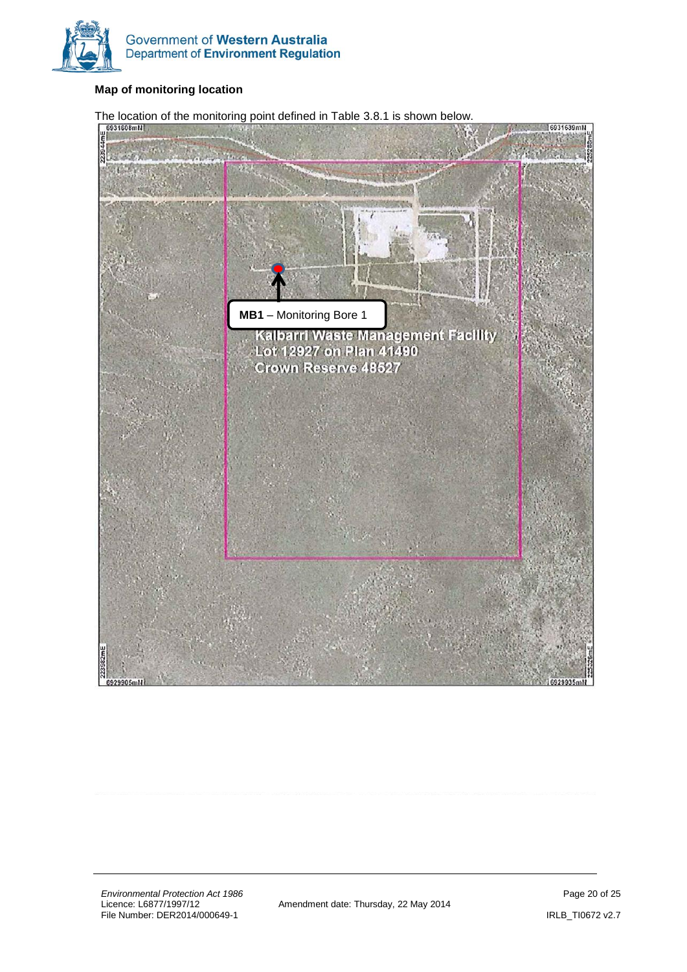

#### **Map of monitoring location**

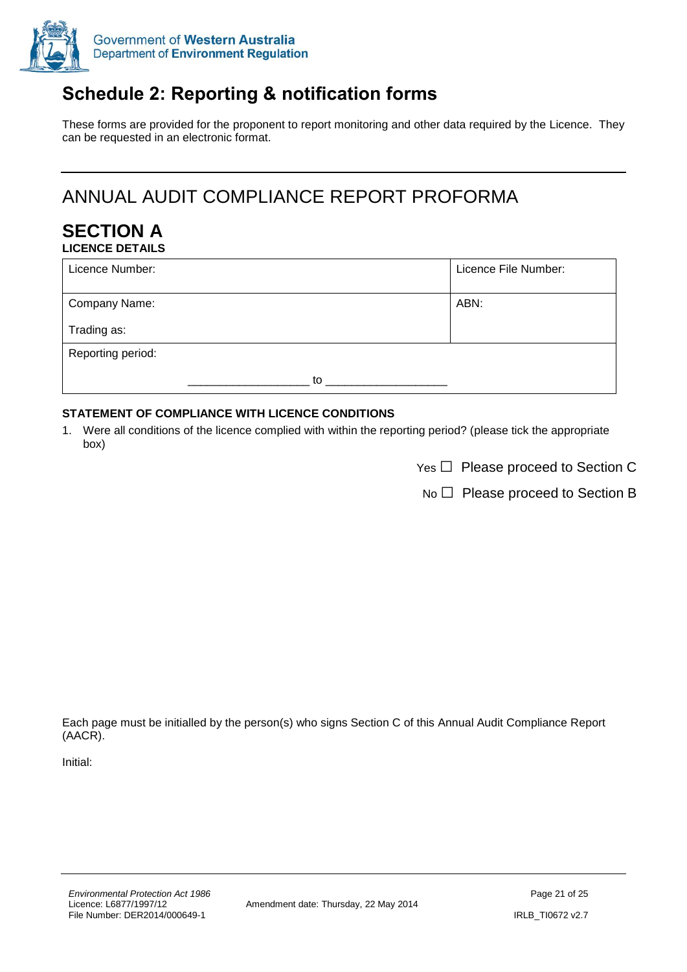

# <span id="page-20-0"></span>**Schedule 2: Reporting & notification forms**

These forms are provided for the proponent to report monitoring and other data required by the Licence. They can be requested in an electronic format.

# ANNUAL AUDIT COMPLIANCE REPORT PROFORMA

#### **SECTION A LICENCE DETAILS**

| Licence Number:   |    | Licence File Number: |
|-------------------|----|----------------------|
| Company Name:     |    | ABN:                 |
| Trading as:       |    |                      |
| Reporting period: |    |                      |
|                   | to |                      |

#### **STATEMENT OF COMPLIANCE WITH LICENCE CONDITIONS**

1. Were all conditions of the licence complied with within the reporting period? (please tick the appropriate box)

No □ Please proceed to Section B

Each page must be initialled by the person(s) who signs Section C of this Annual Audit Compliance Report (AACR).

Initial: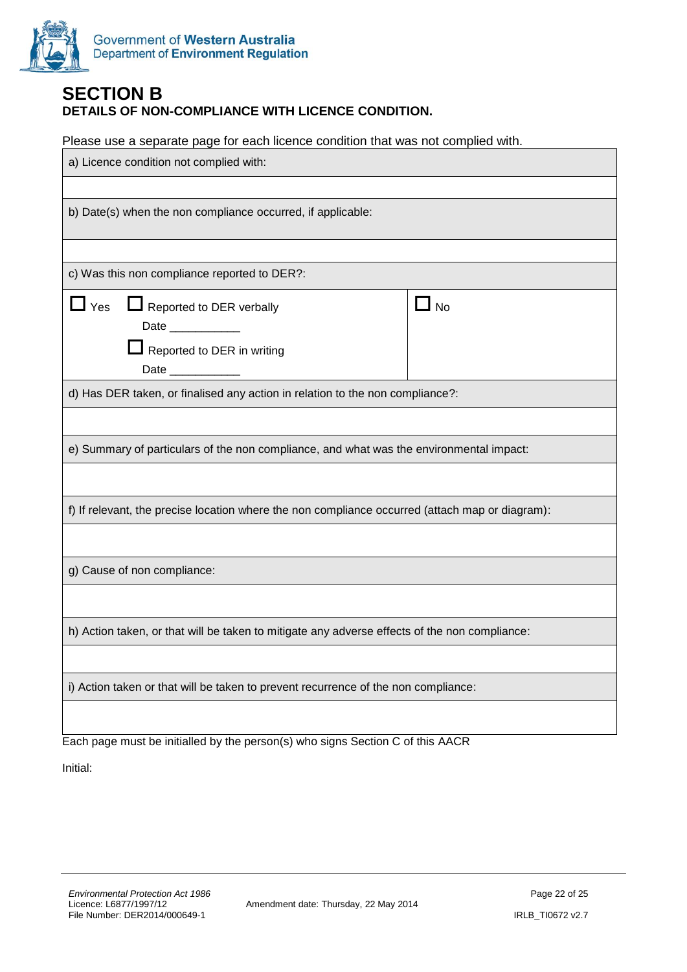

#### **SECTION B DETAILS OF NON-COMPLIANCE WITH LICENCE CONDITION.**

Please use a separate page for each licence condition that was not complied with.

| a) Licence condition not complied with:                                                                                                                  |      |  |  |
|----------------------------------------------------------------------------------------------------------------------------------------------------------|------|--|--|
|                                                                                                                                                          |      |  |  |
| b) Date(s) when the non compliance occurred, if applicable:                                                                                              |      |  |  |
|                                                                                                                                                          |      |  |  |
| c) Was this non compliance reported to DER?:                                                                                                             |      |  |  |
| $\mathsf{\mathsf{\underline{I}}}$ Yes<br>Reported to DER verbally<br>Date ___________<br>$\blacksquare$ Reported to DER in writing<br>Date _____________ | No L |  |  |
| d) Has DER taken, or finalised any action in relation to the non compliance?:                                                                            |      |  |  |
|                                                                                                                                                          |      |  |  |
| e) Summary of particulars of the non compliance, and what was the environmental impact:                                                                  |      |  |  |
|                                                                                                                                                          |      |  |  |
| f) If relevant, the precise location where the non compliance occurred (attach map or diagram):                                                          |      |  |  |
|                                                                                                                                                          |      |  |  |
| g) Cause of non compliance:                                                                                                                              |      |  |  |
|                                                                                                                                                          |      |  |  |
| h) Action taken, or that will be taken to mitigate any adverse effects of the non compliance:                                                            |      |  |  |
|                                                                                                                                                          |      |  |  |
| i) Action taken or that will be taken to prevent recurrence of the non compliance:                                                                       |      |  |  |
|                                                                                                                                                          |      |  |  |

Each page must be initialled by the person(s) who signs Section C of this AACR

Initial: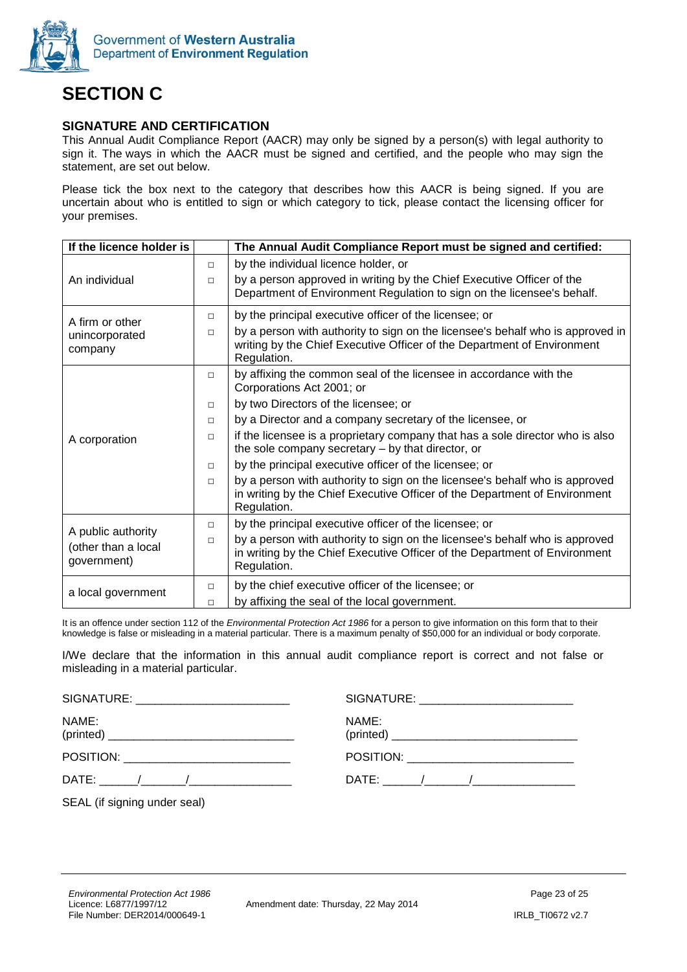

# **SECTION C**

#### **SIGNATURE AND CERTIFICATION**

This Annual Audit Compliance Report (AACR) may only be signed by a person(s) with legal authority to sign it. The ways in which the AACR must be signed and certified, and the people who may sign the statement, are set out below.

Please tick the box next to the category that describes how this AACR is being signed. If you are uncertain about who is entitled to sign or which category to tick, please contact the licensing officer for your premises.

| If the licence holder is                                 |        | The Annual Audit Compliance Report must be signed and certified:                                                                                                         |
|----------------------------------------------------------|--------|--------------------------------------------------------------------------------------------------------------------------------------------------------------------------|
|                                                          | $\Box$ | by the individual licence holder, or                                                                                                                                     |
| An individual                                            | $\Box$ | by a person approved in writing by the Chief Executive Officer of the<br>Department of Environment Regulation to sign on the licensee's behalf.                          |
| A firm or other                                          | $\Box$ | by the principal executive officer of the licensee; or                                                                                                                   |
| unincorporated<br>company                                | $\Box$ | by a person with authority to sign on the licensee's behalf who is approved in<br>writing by the Chief Executive Officer of the Department of Environment<br>Regulation. |
|                                                          | $\Box$ | by affixing the common seal of the licensee in accordance with the<br>Corporations Act 2001; or                                                                          |
|                                                          | $\Box$ | by two Directors of the licensee; or                                                                                                                                     |
|                                                          | $\Box$ | by a Director and a company secretary of the licensee, or                                                                                                                |
| A corporation                                            | $\Box$ | if the licensee is a proprietary company that has a sole director who is also<br>the sole company secretary – by that director, or                                       |
|                                                          | $\Box$ | by the principal executive officer of the licensee; or                                                                                                                   |
|                                                          | $\Box$ | by a person with authority to sign on the licensee's behalf who is approved<br>in writing by the Chief Executive Officer of the Department of Environment<br>Regulation. |
|                                                          | $\Box$ | by the principal executive officer of the licensee; or                                                                                                                   |
| A public authority<br>(other than a local<br>government) | $\Box$ | by a person with authority to sign on the licensee's behalf who is approved<br>in writing by the Chief Executive Officer of the Department of Environment<br>Regulation. |
| a local government                                       | $\Box$ | by the chief executive officer of the licensee; or                                                                                                                       |
|                                                          | $\Box$ | by affixing the seal of the local government.                                                                                                                            |

It is an offence under section 112 of the *Environmental Protection Act 1986* for a person to give information on this form that to their knowledge is false or misleading in a material particular. There is a maximum penalty of \$50,000 for an individual or body corporate.

I/We declare that the information in this annual audit compliance report is correct and not false or misleading in a material particular.

| SIGNATURE: ___________________________ |                                            |
|----------------------------------------|--------------------------------------------|
| NAME:                                  | NAME:                                      |
|                                        | POSITION: ________________________________ |
|                                        |                                            |
| SEAL (if signing under seal)           |                                            |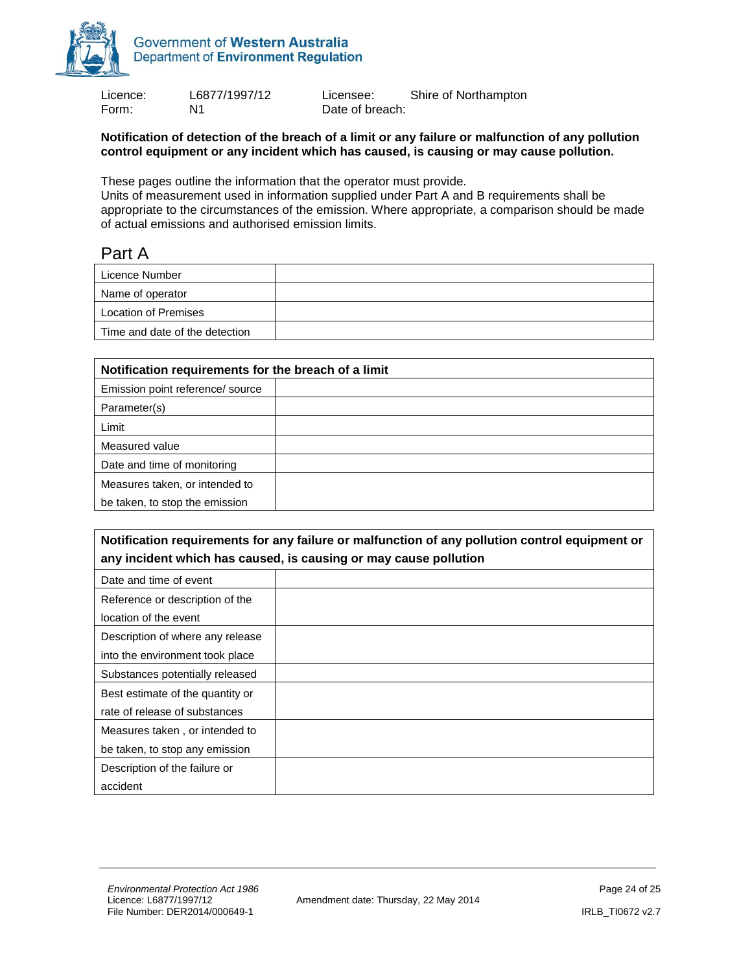

Form: N1 N1 Date of breach:

Licence: L6877/1997/12 Licensee: Shire of Northampton

#### **Notification of detection of the breach of a limit or any failure or malfunction of any pollution control equipment or any incident which has caused, is causing or may cause pollution.**

These pages outline the information that the operator must provide.

Units of measurement used in information supplied under Part A and B requirements shall be appropriate to the circumstances of the emission. Where appropriate, a comparison should be made of actual emissions and authorised emission limits.

### Part A

| Licence Number                 |  |
|--------------------------------|--|
| Name of operator               |  |
| <b>Location of Premises</b>    |  |
| Time and date of the detection |  |

| Notification requirements for the breach of a limit |  |  |
|-----------------------------------------------------|--|--|
| Emission point reference/ source                    |  |  |
| Parameter(s)                                        |  |  |
| Limit                                               |  |  |
| Measured value                                      |  |  |
| Date and time of monitoring                         |  |  |
| Measures taken, or intended to                      |  |  |
| be taken, to stop the emission                      |  |  |
|                                                     |  |  |

| Notification requirements for any failure or malfunction of any pollution control equipment or |  |  |
|------------------------------------------------------------------------------------------------|--|--|
| any incident which has caused, is causing or may cause pollution                               |  |  |
| Date and time of event                                                                         |  |  |
| Reference or description of the                                                                |  |  |
| location of the event                                                                          |  |  |
| Description of where any release                                                               |  |  |
| into the environment took place                                                                |  |  |
| Substances potentially released                                                                |  |  |
| Best estimate of the quantity or                                                               |  |  |
| rate of release of substances                                                                  |  |  |
| Measures taken, or intended to                                                                 |  |  |
| be taken, to stop any emission                                                                 |  |  |
| Description of the failure or                                                                  |  |  |
| accident                                                                                       |  |  |